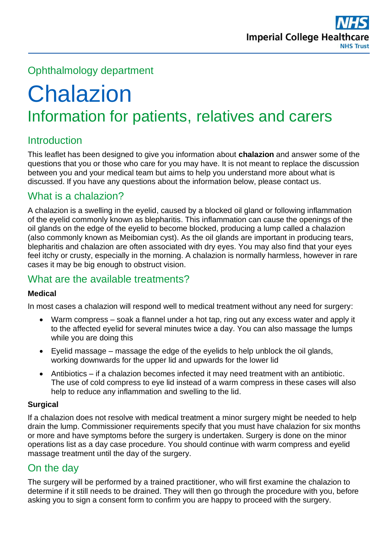# Ophthalmology department

# **Chalazion** Information for patients, relatives and carers

# **Introduction**

This leaflet has been designed to give you information about **chalazion** and answer some of the questions that you or those who care for you may have. It is not meant to replace the discussion between you and your medical team but aims to help you understand more about what is discussed. If you have any questions about the information below, please contact us.

# What is a chalazion?

A chalazion is a swelling in the eyelid, caused by a blocked oil gland or following inflammation of the eyelid commonly known as blepharitis. This inflammation can cause the openings of the oil glands on the edge of the eyelid to become blocked, producing a lump called a chalazion (also commonly known as Meibomian cyst). As the oil glands are important in producing tears, blepharitis and chalazion are often associated with dry eyes. You may also find that your eyes feel itchy or crusty, especially in the morning. A chalazion is normally harmless, however in rare cases it may be big enough to obstruct vision.

## What are the available treatments?

#### **Medical**

In most cases a chalazion will respond well to medical treatment without any need for surgery:

- Warm compress soak a flannel under a hot tap, ring out any excess water and apply it to the affected eyelid for several minutes twice a day. You can also massage the lumps while you are doing this
- Eyelid massage massage the edge of the eyelids to help unblock the oil glands, working downwards for the upper lid and upwards for the lower lid
- Antibiotics if a chalazion becomes infected it may need treatment with an antibiotic. The use of cold compress to eye lid instead of a warm compress in these cases will also help to reduce any inflammation and swelling to the lid.

#### **Surgical**

If a chalazion does not resolve with medical treatment a minor surgery might be needed to help drain the lump. Commissioner requirements specify that you must have chalazion for six months or more and have symptoms before the surgery is undertaken. Surgery is done on the minor operations list as a day case procedure. You should continue with warm compress and eyelid massage treatment until the day of the surgery.

# On the day

The surgery will be performed by a trained practitioner, who will first examine the chalazion to determine if it still needs to be drained. They will then go through the procedure with you, before asking you to sign a consent form to confirm you are happy to proceed with the surgery.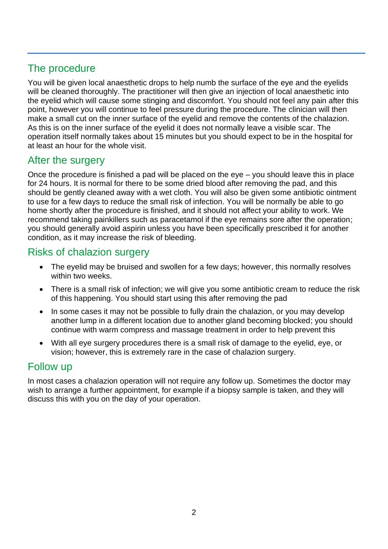# The procedure

You will be given local anaesthetic drops to help numb the surface of the eye and the eyelids will be cleaned thoroughly. The practitioner will then give an injection of local anaesthetic into the eyelid which will cause some stinging and discomfort. You should not feel any pain after this point, however you will continue to feel pressure during the procedure. The clinician will then make a small cut on the inner surface of the eyelid and remove the contents of the chalazion. As this is on the inner surface of the eyelid it does not normally leave a visible scar. The operation itself normally takes about 15 minutes but you should expect to be in the hospital for at least an hour for the whole visit.

# After the surgery

Once the procedure is finished a pad will be placed on the eye – you should leave this in place for 24 hours. It is normal for there to be some dried blood after removing the pad, and this should be gently cleaned away with a wet cloth. You will also be given some antibiotic ointment to use for a few days to reduce the small risk of infection. You will be normally be able to go home shortly after the procedure is finished, and it should not affect your ability to work. We recommend taking painkillers such as paracetamol if the eye remains sore after the operation; you should generally avoid aspirin unless you have been specifically prescribed it for another condition, as it may increase the risk of bleeding.

# Risks of chalazion surgery

- The eyelid may be bruised and swollen for a few days; however, this normally resolves within two weeks.
- There is a small risk of infection; we will give you some antibiotic cream to reduce the risk of this happening. You should start using this after removing the pad
- In some cases it may not be possible to fully drain the chalazion, or you may develop another lump in a different location due to another gland becoming blocked; you should continue with warm compress and massage treatment in order to help prevent this
- With all eye surgery procedures there is a small risk of damage to the eyelid, eye, or vision; however, this is extremely rare in the case of chalazion surgery.

#### Follow up

In most cases a chalazion operation will not require any follow up. Sometimes the doctor may wish to arrange a further appointment, for example if a biopsy sample is taken, and they will discuss this with you on the day of your operation.